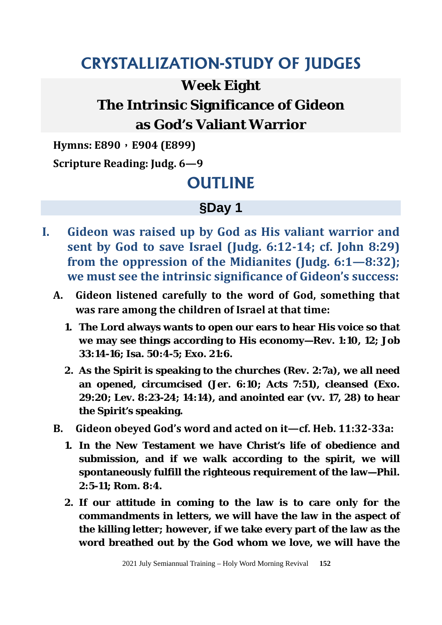## **CRYSTALLIZATION-STUDY OF JUDGES**

### **Week Eight**

## **The Intrinsic Significance of Gideon as God's Valiant Warrior**

**Hymns: E890**,**E904 (E899)** 

**Scripture Reading: Judg. 6—9** 

# **OUTLINE**

### **§Day 1**

- **I. Gideon was raised up by God as His valiant warrior and sent by God to save Israel (Judg. 6:12-14; cf. John 8:29) from the oppression of the Midianites (Judg. 6:1—8:32); we must see the intrinsic significance of Gideon's success:**
	- **A. Gideon listened carefully to the word of God, something that was rare among the children of Israel at that time:**
		- **1. The Lord always wants to open our ears to hear His voice so that we may see things according to His economy—Rev. 1:10, 12; Job 33:14-16; Isa. 50:4-5; Exo. 21:6.**
		- **2. As the Spirit is speaking to the churches (Rev. 2:7a), we all need an opened, circumcised (Jer. 6:10; Acts 7:51), cleansed (Exo. 29:20; Lev. 8:23-24; 14:14), and anointed ear (vv. 17, 28) to hear the Spirit's speaking.**
	- **B. Gideon obeyed God's word and acted on it—cf. Heb. 11:32-33a:** 
		- **1. In the New Testament we have Christ's life of obedience and submission, and if we walk according to the spirit, we will spontaneously fulfill the righteous requirement of the law—Phil. 2:5-11; Rom. 8:4.**
		- **2. If our attitude in coming to the law is to care only for the commandments in letters, we will have the law in the aspect of the killing letter; however, if we take every part of the law as the word breathed out by the God whom we love, we will have the**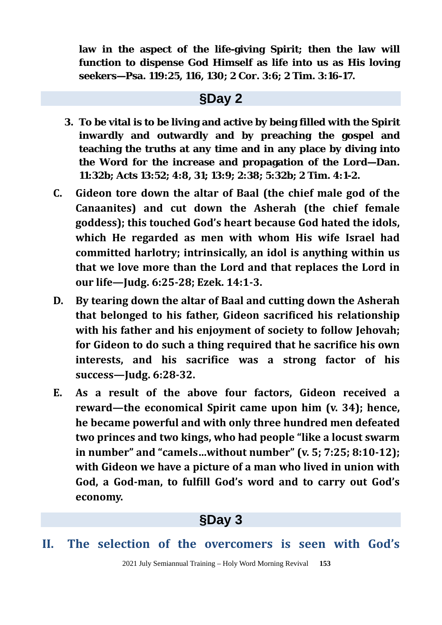**law in the aspect of the life-giving Spirit; then the law will function to dispense God Himself as life into us as His loving seekers—Psa. 119:25, 116, 130; 2 Cor. 3:6; 2 Tim. 3:16-17.**

#### **§Day 2**

- **3. To be vital is to be living and active by being filled with the Spirit inwardly and outwardly and by preaching the gospel and teaching the truths at any time and in any place by diving into the Word for the increase and propagation of the Lord—Dan. 11:32b; Acts 13:52; 4:8, 31; 13:9; 2:38; 5:32b; 2 Tim. 4:1-2.**
- **C. Gideon tore down the altar of Baal (the chief male god of the Canaanites) and cut down the Asherah (the chief female goddess); this touched God's heart because God hated the idols, which He regarded as men with whom His wife Israel had committed harlotry; intrinsically, an idol is anything within us that we love more than the Lord and that replaces the Lord in our life—Judg. 6:25-28; Ezek. 14:1-3.**
- **D. By tearing down the altar of Baal and cutting down the Asherah that belonged to his father, Gideon sacrificed his relationship with his father and his enjoyment of society to follow Jehovah; for Gideon to do such a thing required that he sacrifice his own interests, and his sacrifice was a strong factor of his success—Judg. 6:28-32.**
- **E. As a result of the above four factors, Gideon received a reward—the economical Spirit came upon him (v. 34); hence, he became powerful and with only three hundred men defeated two princes and two kings, who had people "like a locust swarm in number" and "camels…without number" (v. 5; 7:25; 8:10-12); with Gideon we have a picture of a man who lived in union with God, a God-man, to fulfill God's word and to carry out God's economy.**

### **§Day 3**

**II. The selection of the overcomers is seen with God's**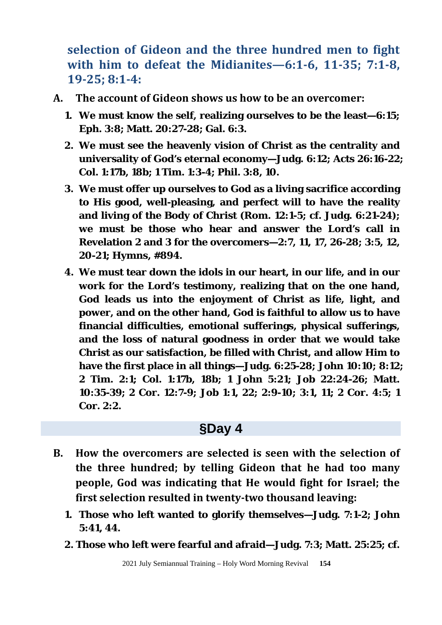**selection of Gideon and the three hundred men to fight with him to defeat the Midianites—6:1-6, 11-35; 7:1-8, 19-25; 8:1-4:**

- **A. The account of Gideon shows us how to be an overcomer:**
	- **1. We must know the self, realizing ourselves to be the least—6:15; Eph. 3:8; Matt. 20:27-28; Gal. 6:3.**
	- **2. We must see the heavenly vision of Christ as the centrality and universality of God's eternal economy—Judg. 6:12; Acts 26:16-22; Col. 1:17b, 18b; 1 Tim. 1:3-4; Phil. 3:8, 10.**
	- **3. We must offer up ourselves to God as a living sacrifice according to His good, well-pleasing, and perfect will to have the reality and living of the Body of Christ (Rom. 12:1-5; cf. Judg. 6:21-24); we must be those who hear and answer the Lord's call in Revelation 2 and 3 for the overcomers—2:7, 11, 17, 26-28; 3:5, 12, 20-21; Hymns, #894.**
	- **4. We must tear down the idols in our heart, in our life, and in our work for the Lord's testimony, realizing that on the one hand, God leads us into the enjoyment of Christ as life, light, and power, and on the other hand, God is faithful to allow us to have financial difficulties, emotional sufferings, physical sufferings, and the loss of natural goodness in order that we would take Christ as our satisfaction, be filled with Christ, and allow Him to have the first place in all things—Judg. 6:25-28; John 10:10; 8:12; 2 Tim. 2:1; Col. 1:17b, 18b; 1 John 5:21; Job 22:24-26; Matt. 10:35-39; 2 Cor. 12:7-9; Job 1:1, 22; 2:9-10; 3:1, 11; 2 Cor. 4:5; 1 Cor. 2:2.**

#### **§Day 4**

- **B. How the overcomers are selected is seen with the selection of the three hundred; by telling Gideon that he had too many people, God was indicating that He would fight for Israel; the first selection resulted in twenty-two thousand leaving:**
	- **1. Those who left wanted to glorify themselves—Judg. 7:1-2; John 5:41, 44.**
	- **2. Those who left were fearful and afraid—Judg. 7:3; Matt. 25:25; cf.**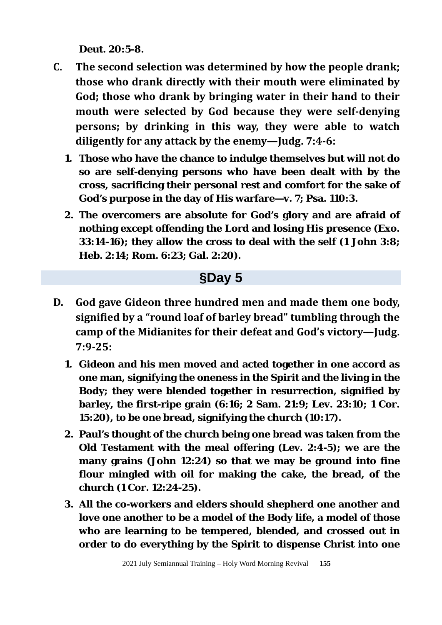**Deut. 20:5-8.**

- **C. The second selection was determined by how the people drank; those who drank directly with their mouth were eliminated by God; those who drank by bringing water in their hand to their mouth were selected by God because they were self-denying persons; by drinking in this way, they were able to watch diligently for any attack by the enemy—Judg. 7:4-6:** 
	- **1. Those who have the chance to indulge themselves but will not do so are self-denying persons who have been dealt with by the cross, sacrificing their personal rest and comfort for the sake of God's purpose in the day of His warfare—v. 7; Psa. 110:3.**
	- **2. The overcomers are absolute for God's glory and are afraid of nothing except offending the Lord and losing His presence (Exo. 33:14-16); they allow the cross to deal with the self (1 John 3:8; Heb. 2:14; Rom. 6:23; Gal. 2:20).**

#### **§Day 5**

- **D. God gave Gideon three hundred men and made them one body, signified by a "round loaf of barley bread" tumbling through the camp of the Midianites for their defeat and God's victory—Judg. 7:9-25:** 
	- **1. Gideon and his men moved and acted together in one accord as one man, signifying the oneness in the Spirit and the living in the Body; they were blended together in resurrection, signified by barley, the first-ripe grain (6:16; 2 Sam. 21:9; Lev. 23:10; 1 Cor. 15:20), to be one bread, signifying the church (10:17).**
	- **2. Paul's thought of the church being one bread was taken from the Old Testament with the meal offering (Lev. 2:4-5); we are the many grains (John 12:24) so that we may be ground into fine flour mingled with oil for making the cake, the bread, of the church (1 Cor. 12:24-25).**
	- **3. All the co-workers and elders should shepherd one another and love one another to be a model of the Body life, a model of those who are learning to be tempered, blended, and crossed out in order to do everything by the Spirit to dispense Christ into one**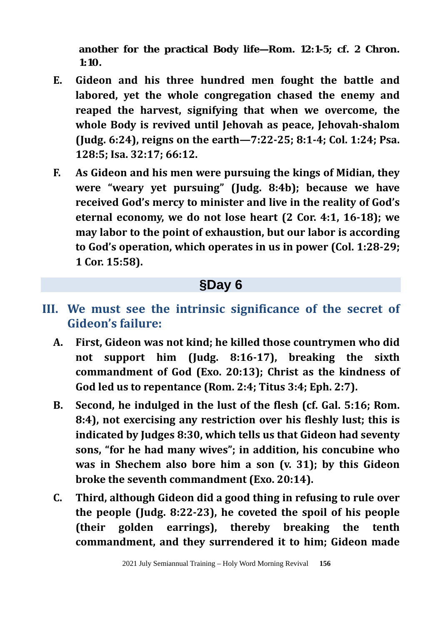**another for the practical Body life—Rom. 12:1-5; cf. 2 Chron. 1:10.**

- **E. Gideon and his three hundred men fought the battle and labored, yet the whole congregation chased the enemy and reaped the harvest, signifying that when we overcome, the whole Body is revived until Jehovah as peace, Jehovah-shalom (Judg. 6:24), reigns on the earth—7:22-25; 8:1-4; Col. 1:24; Psa. 128:5; Isa. 32:17; 66:12.**
- **F. As Gideon and his men were pursuing the kings of Midian, they were "weary yet pursuing" (Judg. 8:4b); because we have received God's mercy to minister and live in the reality of God's eternal economy, we do not lose heart (2 Cor. 4:1, 16-18); we may labor to the point of exhaustion, but our labor is according to God's operation, which operates in us in power (Col. 1:28-29; 1 Cor. 15:58).**

### **§Day 6**

### **III. We must see the intrinsic significance of the secret of Gideon's failure:**

- **A. First, Gideon was not kind; he killed those countrymen who did not support him (Judg. 8:16-17), breaking the sixth commandment of God (Exo. 20:13); Christ as the kindness of God led us to repentance (Rom. 2:4; Titus 3:4; Eph. 2:7).**
- **B. Second, he indulged in the lust of the flesh (cf. Gal. 5:16; Rom. 8:4), not exercising any restriction over his fleshly lust; this is indicated by Judges 8:30, which tells us that Gideon had seventy sons, "for he had many wives"; in addition, his concubine who was in Shechem also bore him a son (v. 31); by this Gideon broke the seventh commandment (Exo. 20:14).**
- **C. Third, although Gideon did a good thing in refusing to rule over the people (Judg. 8:22-23), he coveted the spoil of his people (their golden earrings), thereby breaking the tenth commandment, and they surrendered it to him; Gideon made**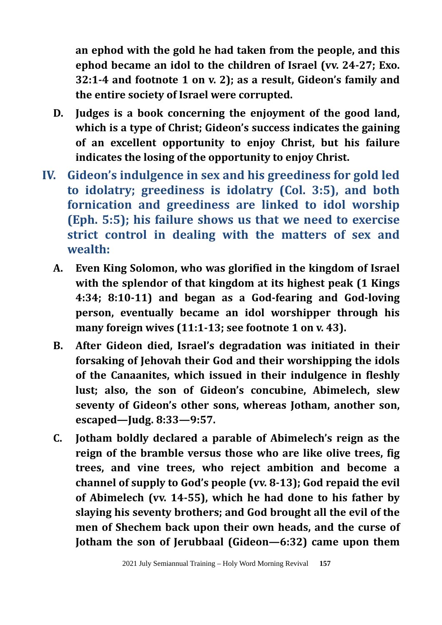**an ephod with the gold he had taken from the people, and this ephod became an idol to the children of Israel (vv. 24-27; Exo. 32:1-4 and footnote 1 on v. 2); as a result, Gideon's family and the entire society of Israel were corrupted.**

- **D. Judges is a book concerning the enjoyment of the good land, which is a type of Christ; Gideon's success indicates the gaining of an excellent opportunity to enjoy Christ, but his failure indicates the losing of the opportunity to enjoy Christ.**
- **IV. Gideon's indulgence in sex and his greediness for gold led to idolatry; greediness is idolatry (Col. 3:5), and both fornication and greediness are linked to idol worship (Eph. 5:5); his failure shows us that we need to exercise strict control in dealing with the matters of sex and wealth:**
	- **A. Even King Solomon, who was glorified in the kingdom of Israel with the splendor of that kingdom at its highest peak (1 Kings 4:34; 8:10-11) and began as a God-fearing and God-loving person, eventually became an idol worshipper through his many foreign wives (11:1-13; see footnote 1 on v. 43).**
	- **B. After Gideon died, Israel's degradation was initiated in their forsaking of Jehovah their God and their worshipping the idols of the Canaanites, which issued in their indulgence in fleshly lust; also, the son of Gideon's concubine, Abimelech, slew seventy of Gideon's other sons, whereas Jotham, another son, escaped—Judg. 8:33—9:57.**
	- **C. Jotham boldly declared a parable of Abimelech's reign as the reign of the bramble versus those who are like olive trees, fig trees, and vine trees, who reject ambition and become a channel of supply to God's people (vv. 8-13); God repaid the evil of Abimelech (vv. 14-55), which he had done to his father by slaying his seventy brothers; and God brought all the evil of the men of Shechem back upon their own heads, and the curse of Jotham the son of Jerubbaal (Gideon—6:32) came upon them**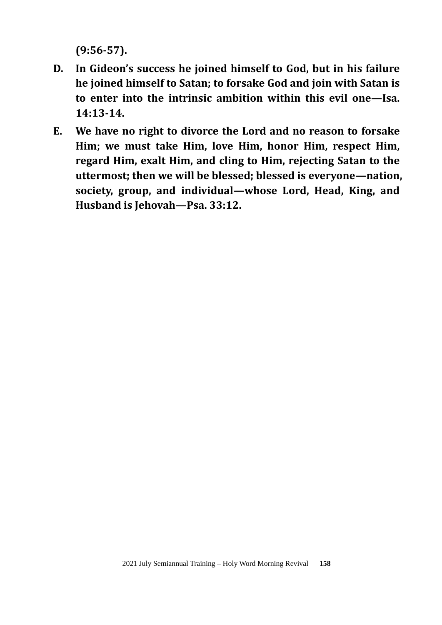**(9:56-57).** 

- **D. In Gideon's success he joined himself to God, but in his failure he joined himself to Satan; to forsake God and join with Satan is to enter into the intrinsic ambition within this evil one—Isa. 14:13-14.**
- **E. We have no right to divorce the Lord and no reason to forsake Him; we must take Him, love Him, honor Him, respect Him, regard Him, exalt Him, and cling to Him, rejecting Satan to the uttermost; then we will be blessed; blessed is everyone—nation, society, group, and individual—whose Lord, Head, King, and Husband is Jehovah—Psa. 33:12.**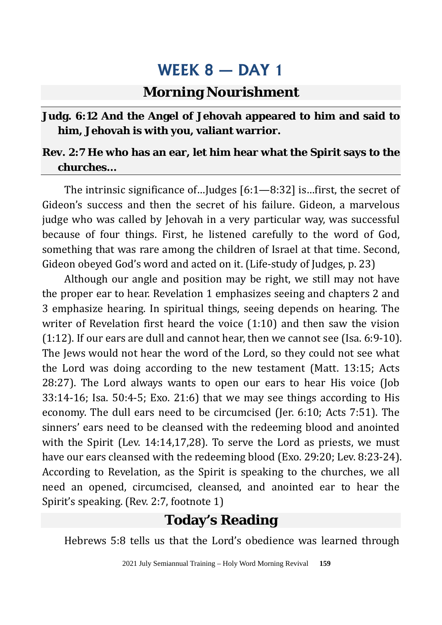#### **Morning Nourishment**

#### **Judg. 6:12 And the Angel of Jehovah appeared to him and said to him, Jehovah is with you, valiant warrior.**

#### **Rev. 2:7 He who has an ear, let him hear what the Spirit says to the churches…**

The intrinsic significance of…Judges [6:1—8:32] is…first, the secret of Gideon's success and then the secret of his failure. Gideon, a marvelous judge who was called by Jehovah in a very particular way, was successful because of four things. First, he listened carefully to the word of God, something that was rare among the children of Israel at that time. Second, Gideon obeyed God's word and acted on it. (Life-study of Judges, p. 23)

Although our angle and position may be right, we still may not have the proper ear to hear. Revelation 1 emphasizes seeing and chapters 2 and 3 emphasize hearing. In spiritual things, seeing depends on hearing. The writer of Revelation first heard the voice (1:10) and then saw the vision (1:12). If our ears are dull and cannot hear, then we cannot see (Isa. 6:9-10). The Jews would not hear the word of the Lord, so they could not see what the Lord was doing according to the new testament (Matt. 13:15; Acts 28:27). The Lord always wants to open our ears to hear His voice (Job 33:14-16; Isa. 50:4-5; Exo. 21:6) that we may see things according to His economy. The dull ears need to be circumcised (Jer. 6:10; Acts 7:51). The sinners' ears need to be cleansed with the redeeming blood and anointed with the Spirit (Lev. 14:14,17,28). To serve the Lord as priests, we must have our ears cleansed with the redeeming blood (Exo. 29:20; Lev. 8:23-24). According to Revelation, as the Spirit is speaking to the churches, we all need an opened, circumcised, cleansed, and anointed ear to hear the Spirit's speaking. (Rev. 2:7, footnote 1)

### **Today's Reading**

Hebrews 5:8 tells us that the Lord's obedience was learned through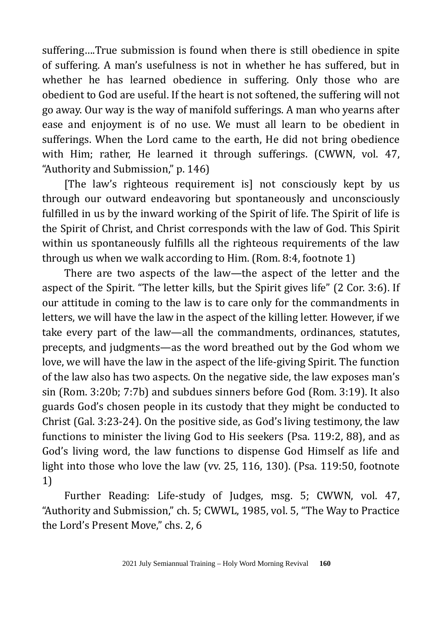suffering….True submission is found when there is still obedience in spite of suffering. A man's usefulness is not in whether he has suffered, but in whether he has learned obedience in suffering. Only those who are obedient to God are useful. If the heart is not softened, the suffering will not go away. Our way is the way of manifold sufferings. A man who yearns after ease and enjoyment is of no use. We must all learn to be obedient in sufferings. When the Lord came to the earth, He did not bring obedience with Him; rather, He learned it through sufferings. (CWWN, vol. 47, "Authority and Submission," p. 146)

[The law's righteous requirement is] not consciously kept by us through our outward endeavoring but spontaneously and unconsciously fulfilled in us by the inward working of the Spirit of life. The Spirit of life is the Spirit of Christ, and Christ corresponds with the law of God. This Spirit within us spontaneously fulfills all the righteous requirements of the law through us when we walk according to Him. (Rom. 8:4, footnote 1)

There are two aspects of the law—the aspect of the letter and the aspect of the Spirit. "The letter kills, but the Spirit gives life" (2 Cor. 3:6). If our attitude in coming to the law is to care only for the commandments in letters, we will have the law in the aspect of the killing letter. However, if we take every part of the law—all the commandments, ordinances, statutes, precepts, and judgments—as the word breathed out by the God whom we love, we will have the law in the aspect of the life-giving Spirit. The function of the law also has two aspects. On the negative side, the law exposes man's sin (Rom. 3:20b; 7:7b) and subdues sinners before God (Rom. 3:19). It also guards God's chosen people in its custody that they might be conducted to Christ (Gal. 3:23-24). On the positive side, as God's living testimony, the law functions to minister the living God to His seekers (Psa. 119:2, 88), and as God's living word, the law functions to dispense God Himself as life and light into those who love the law (vv. 25, 116, 130). (Psa. 119:50, footnote 1)

Further Reading: Life-study of Judges, msg. 5; CWWN, vol. 47, "Authority and Submission," ch. 5; CWWL, 1985, vol. 5, "The Way to Practice the Lord's Present Move," chs. 2, 6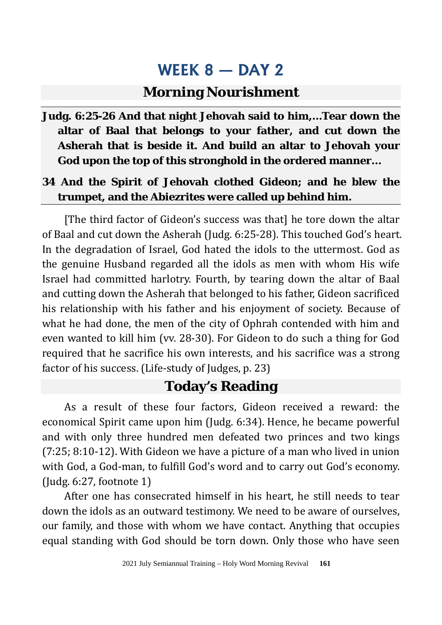#### **Morning Nourishment**

**Judg. 6:25-26 And that night Jehovah said to him,…Tear down the altar of Baal that belongs to your father, and cut down the Asherah that is beside it. And build an altar to Jehovah your God upon the top of this stronghold in the ordered manner…**

#### **34 And the Spirit of Jehovah clothed Gideon; and he blew the trumpet, and the Abiezrites were called up behind him.**

[The third factor of Gideon's success was that] he tore down the altar of Baal and cut down the Asherah (Judg. 6:25-28). This touched God's heart. In the degradation of Israel, God hated the idols to the uttermost. God as the genuine Husband regarded all the idols as men with whom His wife Israel had committed harlotry. Fourth, by tearing down the altar of Baal and cutting down the Asherah that belonged to his father, Gideon sacrificed his relationship with his father and his enjoyment of society. Because of what he had done, the men of the city of Ophrah contended with him and even wanted to kill him (vv. 28-30). For Gideon to do such a thing for God required that he sacrifice his own interests, and his sacrifice was a strong factor of his success. (Life-study of Judges, p. 23)

#### **Today's Reading**

As a result of these four factors, Gideon received a reward: the economical Spirit came upon him (Judg. 6:34). Hence, he became powerful and with only three hundred men defeated two princes and two kings (7:25; 8:10-12). With Gideon we have a picture of a man who lived in union with God, a God-man, to fulfill God's word and to carry out God's economy. (Judg. 6:27, footnote 1)

After one has consecrated himself in his heart, he still needs to tear down the idols as an outward testimony. We need to be aware of ourselves, our family, and those with whom we have contact. Anything that occupies equal standing with God should be torn down. Only those who have seen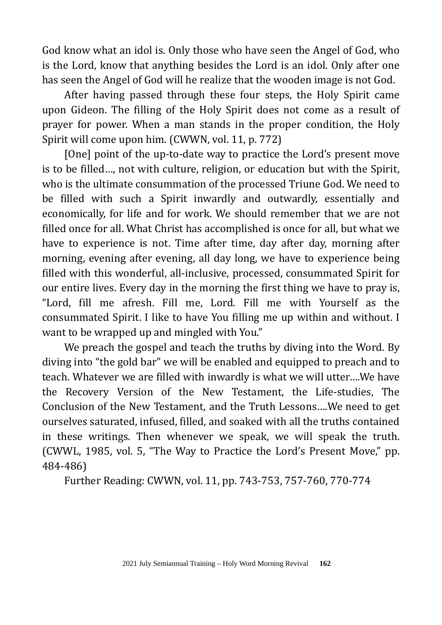God know what an idol is. Only those who have seen the Angel of God, who is the Lord, know that anything besides the Lord is an idol. Only after one has seen the Angel of God will he realize that the wooden image is not God.

After having passed through these four steps, the Holy Spirit came upon Gideon. The filling of the Holy Spirit does not come as a result of prayer for power. When a man stands in the proper condition, the Holy Spirit will come upon him. (CWWN, vol. 11, p. 772)

[One] point of the up-to-date way to practice the Lord's present move is to be filled…, not with culture, religion, or education but with the Spirit, who is the ultimate consummation of the processed Triune God. We need to be filled with such a Spirit inwardly and outwardly, essentially and economically, for life and for work. We should remember that we are not filled once for all. What Christ has accomplished is once for all, but what we have to experience is not. Time after time, day after day, morning after morning, evening after evening, all day long, we have to experience being filled with this wonderful, all-inclusive, processed, consummated Spirit for our entire lives. Every day in the morning the first thing we have to pray is, "Lord, fill me afresh. Fill me, Lord. Fill me with Yourself as the consummated Spirit. I like to have You filling me up within and without. I want to be wrapped up and mingled with You."

We preach the gospel and teach the truths by diving into the Word. By diving into "the gold bar" we will be enabled and equipped to preach and to teach. Whatever we are filled with inwardly is what we will utter….We have the Recovery Version of the New Testament, the Life-studies, The Conclusion of the New Testament, and the Truth Lessons….We need to get ourselves saturated, infused, filled, and soaked with all the truths contained in these writings. Then whenever we speak, we will speak the truth. (CWWL, 1985, vol. 5, "The Way to Practice the Lord's Present Move," pp. 484-486)

Further Reading: CWWN, vol. 11, pp. 743-753, 757-760, 770-774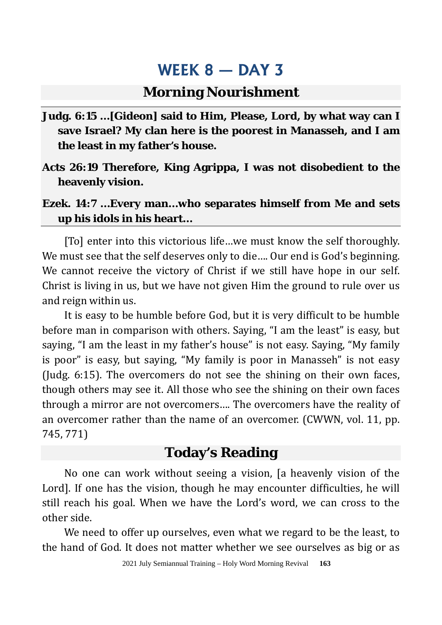#### **Morning Nourishment**

- **Judg. 6:15 …[Gideon] said to Him, Please, Lord, by what way can I save Israel? My clan here is the poorest in Manasseh, and I am the least in my father's house.**
- **Acts 26:19 Therefore, King Agrippa, I was not disobedient to the heavenly vision.**
- **Ezek. 14:7 …Every man…who separates himself from Me and sets up his idols in his heart…**

[To] enter into this victorious life…we must know the self thoroughly. We must see that the self deserves only to die.... Our end is God's beginning. We cannot receive the victory of Christ if we still have hope in our self. Christ is living in us, but we have not given Him the ground to rule over us and reign within us.

It is easy to be humble before God, but it is very difficult to be humble before man in comparison with others. Saying, "I am the least" is easy, but saying, "I am the least in my father's house" is not easy. Saying, "My family is poor" is easy, but saying, "My family is poor in Manasseh" is not easy (Judg. 6:15). The overcomers do not see the shining on their own faces, though others may see it. All those who see the shining on their own faces through a mirror are not overcomers…. The overcomers have the reality of an overcomer rather than the name of an overcomer. (CWWN, vol. 11, pp. 745, 771)

#### **Today's Reading**

No one can work without seeing a vision, [a heavenly vision of the Lord]. If one has the vision, though he may encounter difficulties, he will still reach his goal. When we have the Lord's word, we can cross to the other side.

We need to offer up ourselves, even what we regard to be the least, to the hand of God. It does not matter whether we see ourselves as big or as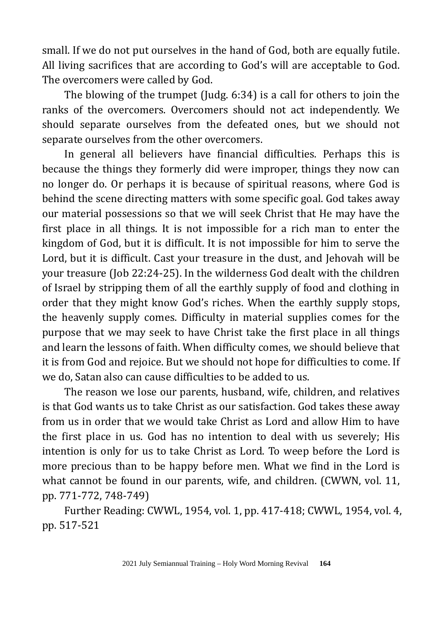small. If we do not put ourselves in the hand of God, both are equally futile. All living sacrifices that are according to God's will are acceptable to God. The overcomers were called by God.

The blowing of the trumpet (Judg. 6:34) is a call for others to join the ranks of the overcomers. Overcomers should not act independently. We should separate ourselves from the defeated ones, but we should not separate ourselves from the other overcomers.

In general all believers have financial difficulties. Perhaps this is because the things they formerly did were improper, things they now can no longer do. Or perhaps it is because of spiritual reasons, where God is behind the scene directing matters with some specific goal. God takes away our material possessions so that we will seek Christ that He may have the first place in all things. It is not impossible for a rich man to enter the kingdom of God, but it is difficult. It is not impossible for him to serve the Lord, but it is difficult. Cast your treasure in the dust, and Jehovah will be your treasure (Job 22:24-25). In the wilderness God dealt with the children of Israel by stripping them of all the earthly supply of food and clothing in order that they might know God's riches. When the earthly supply stops, the heavenly supply comes. Difficulty in material supplies comes for the purpose that we may seek to have Christ take the first place in all things and learn the lessons of faith. When difficulty comes, we should believe that it is from God and rejoice. But we should not hope for difficulties to come. If we do, Satan also can cause difficulties to be added to us.

The reason we lose our parents, husband, wife, children, and relatives is that God wants us to take Christ as our satisfaction. God takes these away from us in order that we would take Christ as Lord and allow Him to have the first place in us. God has no intention to deal with us severely; His intention is only for us to take Christ as Lord. To weep before the Lord is more precious than to be happy before men. What we find in the Lord is what cannot be found in our parents, wife, and children. (CWWN, vol. 11, pp. 771-772, 748-749)

Further Reading: CWWL, 1954, vol. 1, pp. 417-418; CWWL, 1954, vol. 4, pp. 517-521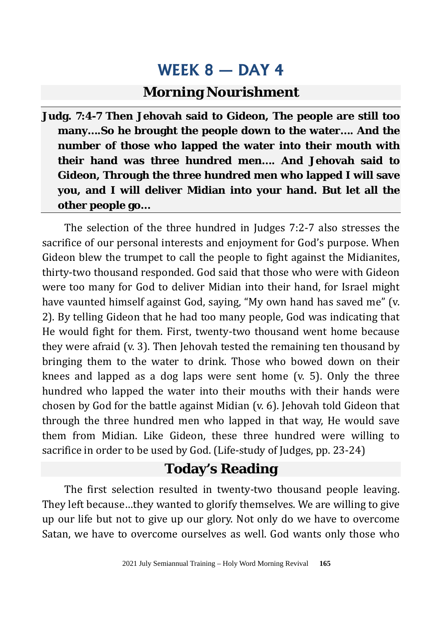### **Morning Nourishment**

**Judg. 7:4-7 Then Jehovah said to Gideon, The people are still too many….So he brought the people down to the water…. And the number of those who lapped the water into their mouth with their hand was three hundred men…. And Jehovah said to Gideon, Through the three hundred men who lapped I will save you, and I will deliver Midian into your hand. But let all the other people go…**

The selection of the three hundred in Judges 7:2-7 also stresses the sacrifice of our personal interests and enjoyment for God's purpose. When Gideon blew the trumpet to call the people to fight against the Midianites, thirty-two thousand responded. God said that those who were with Gideon were too many for God to deliver Midian into their hand, for Israel might have vaunted himself against God, saying, "My own hand has saved me" (v. 2). By telling Gideon that he had too many people, God was indicating that He would fight for them. First, twenty-two thousand went home because they were afraid (v. 3). Then Jehovah tested the remaining ten thousand by bringing them to the water to drink. Those who bowed down on their knees and lapped as a dog laps were sent home (v. 5). Only the three hundred who lapped the water into their mouths with their hands were chosen by God for the battle against Midian (v. 6). Jehovah told Gideon that through the three hundred men who lapped in that way, He would save them from Midian. Like Gideon, these three hundred were willing to sacrifice in order to be used by God. (Life-study of Judges, pp. 23-24)

### **Today's Reading**

The first selection resulted in twenty-two thousand people leaving. They left because…they wanted to glorify themselves. We are willing to give up our life but not to give up our glory. Not only do we have to overcome Satan, we have to overcome ourselves as well. God wants only those who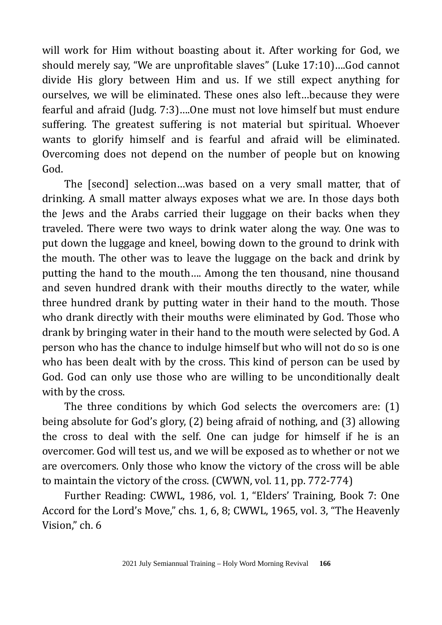will work for Him without boasting about it. After working for God, we should merely say, "We are unprofitable slaves" (Luke 17:10)….God cannot divide His glory between Him and us. If we still expect anything for ourselves, we will be eliminated. These ones also left…because they were fearful and afraid (Judg. 7:3)….One must not love himself but must endure suffering. The greatest suffering is not material but spiritual. Whoever wants to glorify himself and is fearful and afraid will be eliminated. Overcoming does not depend on the number of people but on knowing God.

The [second] selection…was based on a very small matter, that of drinking. A small matter always exposes what we are. In those days both the Jews and the Arabs carried their luggage on their backs when they traveled. There were two ways to drink water along the way. One was to put down the luggage and kneel, bowing down to the ground to drink with the mouth. The other was to leave the luggage on the back and drink by putting the hand to the mouth…. Among the ten thousand, nine thousand and seven hundred drank with their mouths directly to the water, while three hundred drank by putting water in their hand to the mouth. Those who drank directly with their mouths were eliminated by God. Those who drank by bringing water in their hand to the mouth were selected by God. A person who has the chance to indulge himself but who will not do so is one who has been dealt with by the cross. This kind of person can be used by God. God can only use those who are willing to be unconditionally dealt with by the cross.

The three conditions by which God selects the overcomers are: (1) being absolute for God's glory, (2) being afraid of nothing, and (3) allowing the cross to deal with the self. One can judge for himself if he is an overcomer. God will test us, and we will be exposed as to whether or not we are overcomers. Only those who know the victory of the cross will be able to maintain the victory of the cross. (CWWN, vol. 11, pp. 772-774)

Further Reading: CWWL, 1986, vol. 1, "Elders' Training, Book 7: One Accord for the Lord's Move," chs. 1, 6, 8; CWWL, 1965, vol. 3, "The Heavenly Vision," ch. 6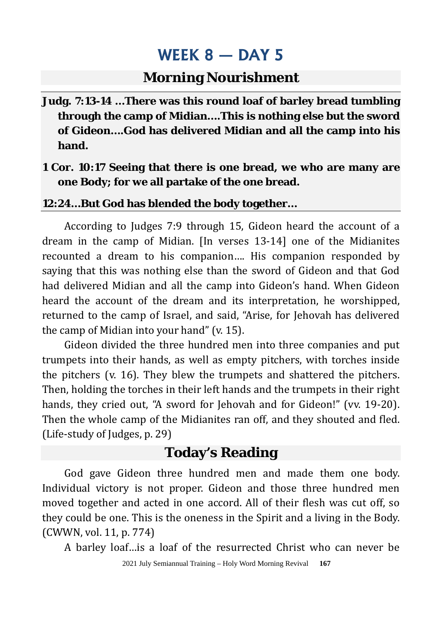#### **Morning Nourishment**

- **Judg. 7:13-14 …There was this round loaf of barley bread tumbling through the camp of Midian….This is nothing else but the sword of Gideon….God has delivered Midian and all the camp into his hand.**
- **1 Cor. 10:17 Seeing that there is one bread, we who are many are one Body; for we all partake of the one bread.**

#### **12:24…But God has blended the body together…**

According to Judges 7:9 through 15, Gideon heard the account of a dream in the camp of Midian. [In verses 13-14] one of the Midianites recounted a dream to his companion…. His companion responded by saying that this was nothing else than the sword of Gideon and that God had delivered Midian and all the camp into Gideon's hand. When Gideon heard the account of the dream and its interpretation, he worshipped, returned to the camp of Israel, and said, "Arise, for Jehovah has delivered the camp of Midian into your hand" (v. 15).

Gideon divided the three hundred men into three companies and put trumpets into their hands, as well as empty pitchers, with torches inside the pitchers (v. 16). They blew the trumpets and shattered the pitchers. Then, holding the torches in their left hands and the trumpets in their right hands, they cried out, "A sword for Jehovah and for Gideon!" (vv. 19-20). Then the whole camp of the Midianites ran off, and they shouted and fled. (Life-study of Judges, p. 29)

#### **Today's Reading**

God gave Gideon three hundred men and made them one body. Individual victory is not proper. Gideon and those three hundred men moved together and acted in one accord. All of their flesh was cut off, so they could be one. This is the oneness in the Spirit and a living in the Body. (CWWN, vol. 11, p. 774)

A barley loaf…is a loaf of the resurrected Christ who can never be

2021 July Semiannual Training – Holy Word Morning Revival **167**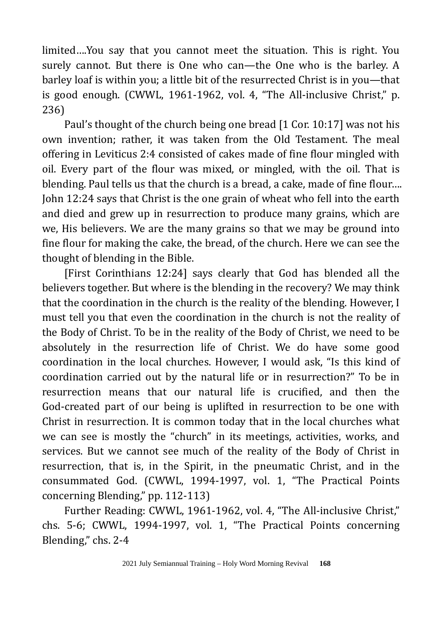limited….You say that you cannot meet the situation. This is right. You surely cannot. But there is One who can—the One who is the barley. A barley loaf is within you; a little bit of the resurrected Christ is in you—that is good enough. (CWWL, 1961-1962, vol. 4, "The All-inclusive Christ," p. 236)

Paul's thought of the church being one bread [1 Cor. 10:17] was not his own invention; rather, it was taken from the Old Testament. The meal offering in Leviticus 2:4 consisted of cakes made of fine flour mingled with oil. Every part of the flour was mixed, or mingled, with the oil. That is blending. Paul tells us that the church is a bread, a cake, made of fine flour…. John 12:24 says that Christ is the one grain of wheat who fell into the earth and died and grew up in resurrection to produce many grains, which are we, His believers. We are the many grains so that we may be ground into fine flour for making the cake, the bread, of the church. Here we can see the thought of blending in the Bible.

[First Corinthians 12:24] says clearly that God has blended all the believers together. But where is the blending in the recovery? We may think that the coordination in the church is the reality of the blending. However, I must tell you that even the coordination in the church is not the reality of the Body of Christ. To be in the reality of the Body of Christ, we need to be absolutely in the resurrection life of Christ. We do have some good coordination in the local churches. However, I would ask, "Is this kind of coordination carried out by the natural life or in resurrection?" To be in resurrection means that our natural life is crucified, and then the God-created part of our being is uplifted in resurrection to be one with Christ in resurrection. It is common today that in the local churches what we can see is mostly the "church" in its meetings, activities, works, and services. But we cannot see much of the reality of the Body of Christ in resurrection, that is, in the Spirit, in the pneumatic Christ, and in the consummated God. (CWWL, 1994-1997, vol. 1, "The Practical Points concerning Blending," pp. 112-113)

Further Reading: CWWL, 1961-1962, vol. 4, "The All-inclusive Christ," chs. 5-6; CWWL, 1994-1997, vol. 1, "The Practical Points concerning Blending," chs. 2-4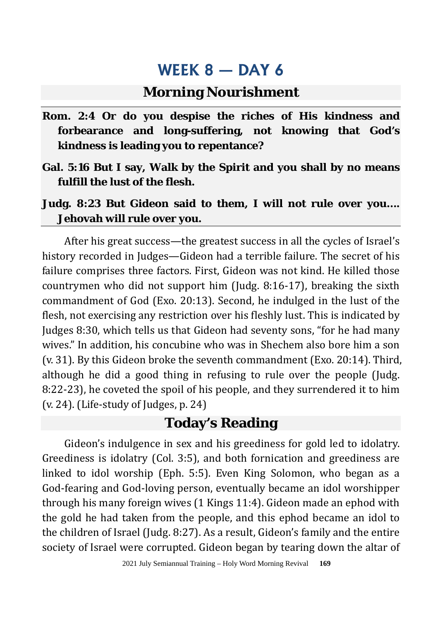#### **Morning Nourishment**

- **Rom. 2:4 Or do you despise the riches of His kindness and forbearance and long-suffering, not knowing that God's kindness is leading you to repentance?**
- **Gal. 5:16 But I say, Walk by the Spirit and you shall by no means fulfill the lust of the flesh.**
- **Judg. 8:23 But Gideon said to them, I will not rule over you…. Jehovah will rule over you.**

After his great success—the greatest success in all the cycles of Israel's history recorded in Judges—Gideon had a terrible failure. The secret of his failure comprises three factors. First, Gideon was not kind. He killed those countrymen who did not support him (Judg. 8:16-17), breaking the sixth commandment of God (Exo. 20:13). Second, he indulged in the lust of the flesh, not exercising any restriction over his fleshly lust. This is indicated by Judges 8:30, which tells us that Gideon had seventy sons, "for he had many wives." In addition, his concubine who was in Shechem also bore him a son (v. 31). By this Gideon broke the seventh commandment (Exo. 20:14). Third, although he did a good thing in refusing to rule over the people (Judg. 8:22-23), he coveted the spoil of his people, and they surrendered it to him (v. 24). (Life-study of Judges, p. 24)

### **Today's Reading**

Gideon's indulgence in sex and his greediness for gold led to idolatry. Greediness is idolatry (Col. 3:5), and both fornication and greediness are linked to idol worship (Eph. 5:5). Even King Solomon, who began as a God-fearing and God-loving person, eventually became an idol worshipper through his many foreign wives (1 Kings 11:4). Gideon made an ephod with the gold he had taken from the people, and this ephod became an idol to the children of Israel (Judg. 8:27). As a result, Gideon's family and the entire society of Israel were corrupted. Gideon began by tearing down the altar of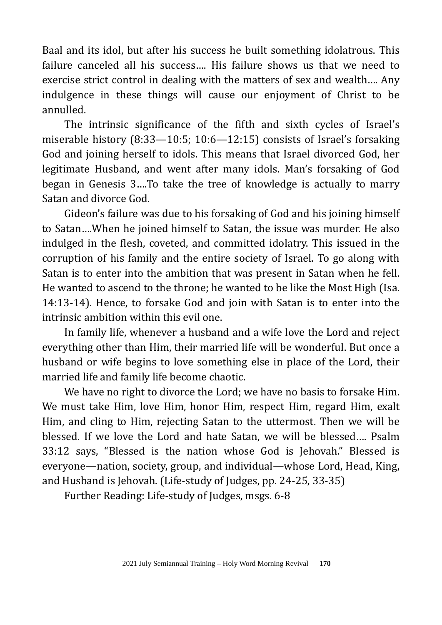Baal and its idol, but after his success he built something idolatrous. This failure canceled all his success…. His failure shows us that we need to exercise strict control in dealing with the matters of sex and wealth…. Any indulgence in these things will cause our enjoyment of Christ to be annulled.

The intrinsic significance of the fifth and sixth cycles of Israel's miserable history (8:33—10:5; 10:6—12:15) consists of Israel's forsaking God and joining herself to idols. This means that Israel divorced God, her legitimate Husband, and went after many idols. Man's forsaking of God began in Genesis 3….To take the tree of knowledge is actually to marry Satan and divorce God.

Gideon's failure was due to his forsaking of God and his joining himself to Satan….When he joined himself to Satan, the issue was murder. He also indulged in the flesh, coveted, and committed idolatry. This issued in the corruption of his family and the entire society of Israel. To go along with Satan is to enter into the ambition that was present in Satan when he fell. He wanted to ascend to the throne; he wanted to be like the Most High (Isa. 14:13-14). Hence, to forsake God and join with Satan is to enter into the intrinsic ambition within this evil one.

In family life, whenever a husband and a wife love the Lord and reject everything other than Him, their married life will be wonderful. But once a husband or wife begins to love something else in place of the Lord, their married life and family life become chaotic.

We have no right to divorce the Lord; we have no basis to forsake Him. We must take Him, love Him, honor Him, respect Him, regard Him, exalt Him, and cling to Him, rejecting Satan to the uttermost. Then we will be blessed. If we love the Lord and hate Satan, we will be blessed…. Psalm 33:12 says, "Blessed is the nation whose God is Jehovah." Blessed is everyone—nation, society, group, and individual—whose Lord, Head, King, and Husband is Jehovah. (Life-study of Judges, pp. 24-25, 33-35)

Further Reading: Life-study of Judges, msgs. 6-8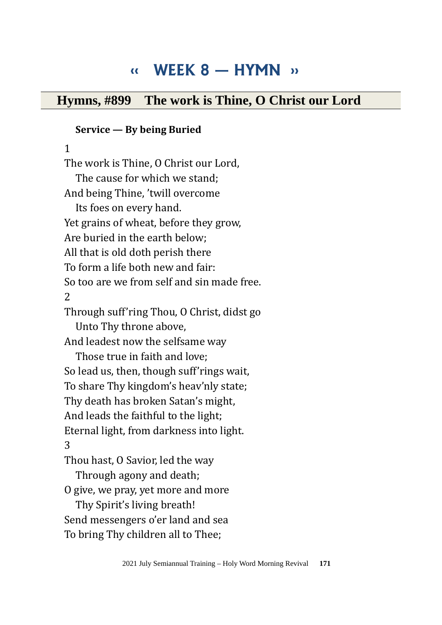# **‹‹ WEEK 8 — HYMN ››**

### **Hymns, #899 The work is Thine, O Christ our Lord**

#### **Service — By being Buried**

1 The work is Thine, O Christ our Lord, The cause for which we stand; And being Thine, 'twill overcome Its foes on every hand. Yet grains of wheat, before they grow, Are buried in the earth below; All that is old doth perish there To form a life both new and fair: So too are we from self and sin made free. 2 Through suff'ring Thou, O Christ, didst go Unto Thy throne above, And leadest now the selfsame way Those true in faith and love; So lead us, then, though suff'rings wait, To share Thy kingdom's heav'nly state; Thy death has broken Satan's might, And leads the faithful to the light; Eternal light, from darkness into light. 3 Thou hast, O Savior, led the way Through agony and death; O give, we pray, yet more and more Thy Spirit's living breath! Send messengers o'er land and sea

To bring Thy children all to Thee;